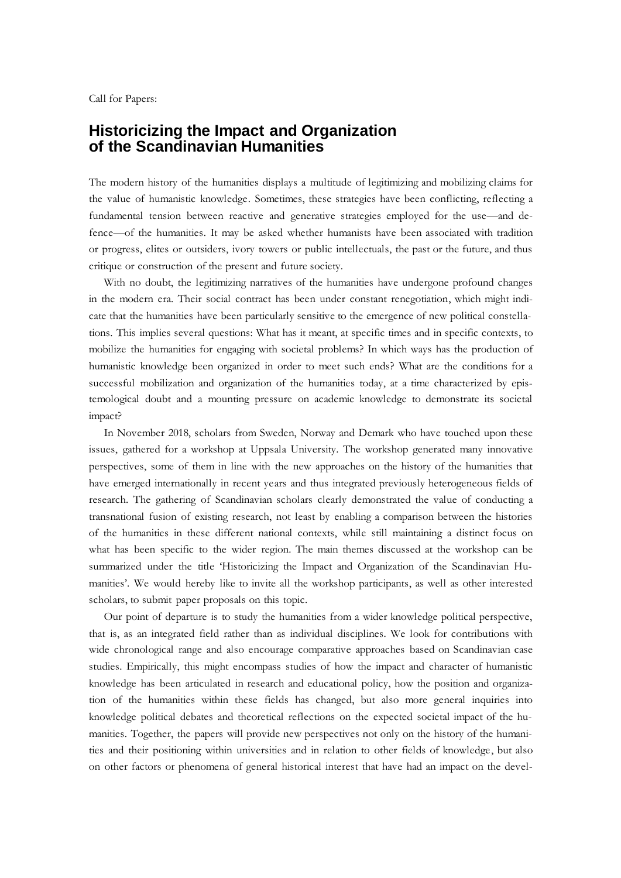Call for Papers:

## **Historicizing the Impact and Organization of the Scandinavian Humanities**

The modern history of the humanities displays a multitude of legitimizing and mobilizing claims for the value of humanistic knowledge. Sometimes, these strategies have been conflicting, reflecting a fundamental tension between reactive and generative strategies employed for the use—and defence—of the humanities. It may be asked whether humanists have been associated with tradition or progress, elites or outsiders, ivory towers or public intellectuals, the past or the future, and thus critique or construction of the present and future society.

With no doubt, the legitimizing narratives of the humanities have undergone profound changes in the modern era. Their social contract has been under constant renegotiation, which might indicate that the humanities have been particularly sensitive to the emergence of new political constellations. This implies several questions: What has it meant, at specific times and in specific contexts, to mobilize the humanities for engaging with societal problems? In which ways has the production of humanistic knowledge been organized in order to meet such ends? What are the conditions for a successful mobilization and organization of the humanities today, at a time characterized by epistemological doubt and a mounting pressure on academic knowledge to demonstrate its societal impact?

In November 2018, scholars from Sweden, Norway and Demark who have touched upon these issues, gathered for a workshop at Uppsala University. The workshop generated many innovative perspectives, some of them in line with the new approaches on the history of the humanities that have emerged internationally in recent years and thus integrated previously heterogeneous fields of research. The gathering of Scandinavian scholars clearly demonstrated the value of conducting a transnational fusion of existing research, not least by enabling a comparison between the histories of the humanities in these different national contexts, while still maintaining a distinct focus on what has been specific to the wider region. The main themes discussed at the workshop can be summarized under the title 'Historicizing the Impact and Organization of the Scandinavian Humanities'. We would hereby like to invite all the workshop participants, as well as other interested scholars, to submit paper proposals on this topic.

Our point of departure is to study the humanities from a wider knowledge political perspective, that is, as an integrated field rather than as individual disciplines. We look for contributions with wide chronological range and also encourage comparative approaches based on Scandinavian case studies. Empirically, this might encompass studies of how the impact and character of humanistic knowledge has been articulated in research and educational policy, how the position and organization of the humanities within these fields has changed, but also more general inquiries into knowledge political debates and theoretical reflections on the expected societal impact of the humanities. Together, the papers will provide new perspectives not only on the history of the humanities and their positioning within universities and in relation to other fields of knowledge, but also on other factors or phenomena of general historical interest that have had an impact on the devel